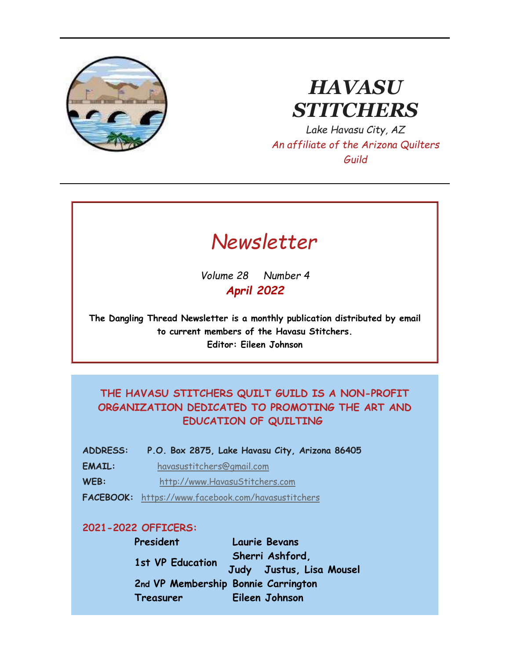

# *HAVASU STITCHERS*

*Lake Havasu City, AZ An affiliate of the Arizona Quilters Guild*



*Volume 28 Number 4 April 2022*

**The Dangling Thread Newsletter is a monthly publication distributed by email to current members of the Havasu Stitchers. Editor: Eileen Johnson**

### **THE HAVASU STITCHERS QUILT GUILD IS A NON-PROFIT ORGANIZATION DEDICATED TO PROMOTING THE ART AND EDUCATION OF QUILTING**

- **ADDRESS: P.O. Box 2875, Lake Havasu City, Arizona 86405**
- **EMAIL:** [havasustitchers@gmail.com](mailto:havasustitchers@gmail.com)
- **WEB:** [http://www.HavasuStitchers.com](http://www.havasustitchers.com/)
- **FACEBOOK:** <https://www.facebook.com/havasustitchers>

#### **2021-2022 OFFICERS:**

**President Laurie Bevans 1st VP Education Sherri Ashford, Judy Justus, Lisa Mousel 2nd VP Membership Bonnie Carrington Treasurer Eileen Johnson**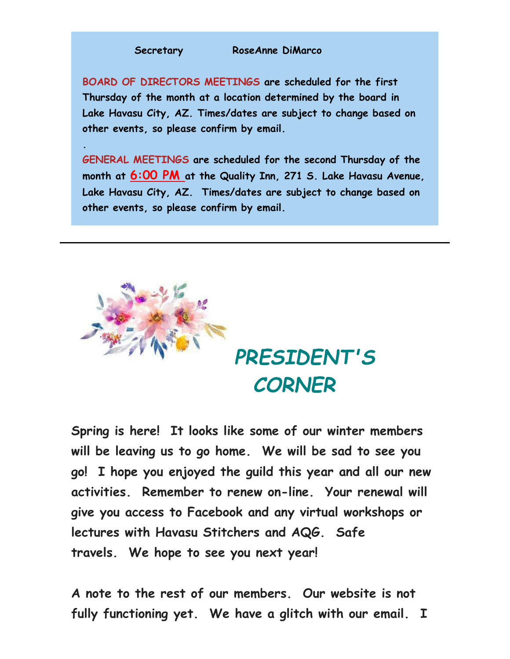#### **Secretary RoseAnne DiMarco**

**.**

**BOARD OF DIRECTORS MEETINGS are scheduled for the first Thursday of the month at a location determined by the board in Lake Havasu City, AZ. Times/dates are subject to change based on other events, so please confirm by email.**

**GENERAL MEETINGS are scheduled for the second Thursday of the month at 6:00 PM at the Quality Inn, 271 S. Lake Havasu Avenue, Lake Havasu City, AZ. Times/dates are subject to change based on other events, so please confirm by email.** 



**Spring is here! It looks like some of our winter members will be leaving us to go home. We will be sad to see you go! I hope you enjoyed the guild this year and all our new activities. Remember to renew on-line. Your renewal will give you access to Facebook and any virtual workshops or lectures with Havasu Stitchers and AQG. Safe travels. We hope to see you next year!**

**A note to the rest of our members. Our website is not fully functioning yet. We have a glitch with our email. I**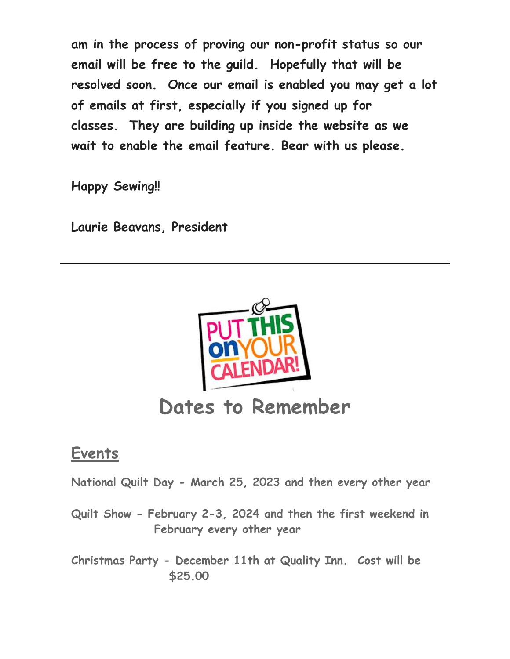**am in the process of proving our non-profit status so our email will be free to the guild. Hopefully that will be resolved soon. Once our email is enabled you may get a lot of emails at first, especially if you signed up for classes. They are building up inside the website as we wait to enable the email feature. Bear with us please.**

**Happy Sewing!!**

**Laurie Beavans, President**



# **Dates to Remember**

# **Events**

**National Quilt Day - March 25, 2023 and then every other year**

- **Quilt Show - February 2-3, 2024 and then the first weekend in February every other year**
- **Christmas Party - December 11th at Quality Inn. Cost will be \$25.00**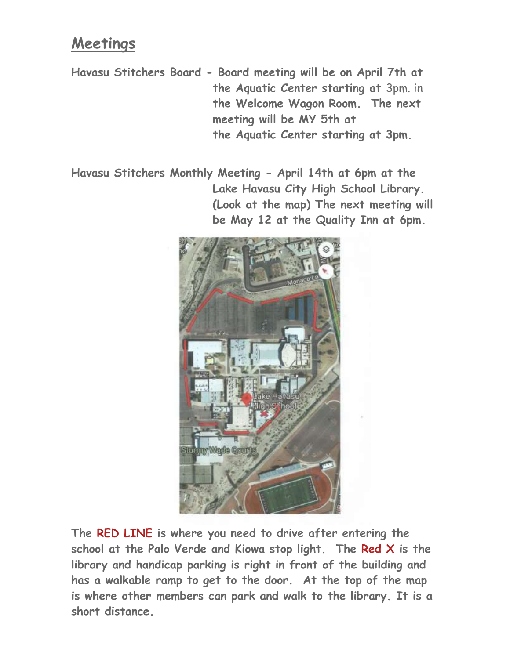# **Meetings**

**Havasu Stitchers Board - Board meeting will be on April 7th at the Aquatic Center starting at** [3pm.](http://3pm.in/) in **the Welcome Wagon Room. The next meeting will be MY 5th at the Aquatic Center starting at 3pm.**

**Havasu Stitchers Monthly Meeting - April 14th at 6pm at the Lake Havasu City High School Library. (Look at the map) The next meeting will be May 12 at the Quality Inn at 6pm.**



**The RED LINE is where you need to drive after entering the school at the Palo Verde and Kiowa stop light. The Red X is the library and handicap parking is right in front of the building and has a walkable ramp to get to the door. At the top of the map is where other members can park and walk to the library. It is a short distance.**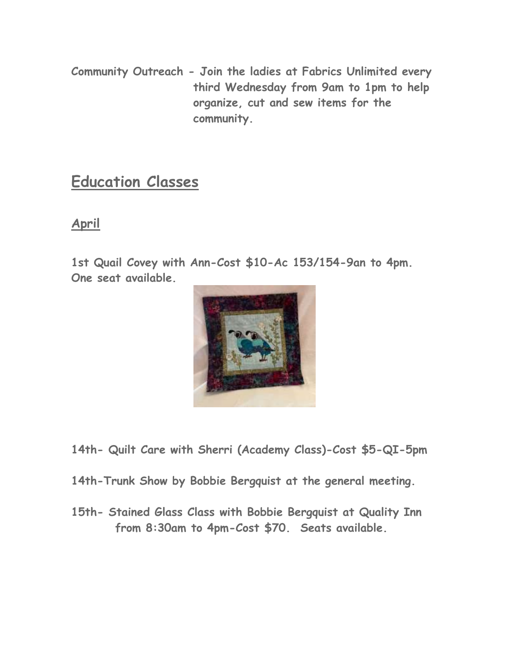**Community Outreach - Join the ladies at Fabrics Unlimited every third Wednesday from 9am to 1pm to help organize, cut and sew items for the community.** 

## **Education Classes**

## **April**

**1st Quail Covey with Ann-Cost \$10-Ac 153/154-9an to 4pm. One seat available.**



- **14th- Quilt Care with Sherri (Academy Class)-Cost \$5-QI-5pm**
- **14th-Trunk Show by Bobbie Bergquist at the general meeting.**
- **15th- Stained Glass Class with Bobbie Bergquist at Quality Inn from 8:30am to 4pm-Cost \$70. Seats available.**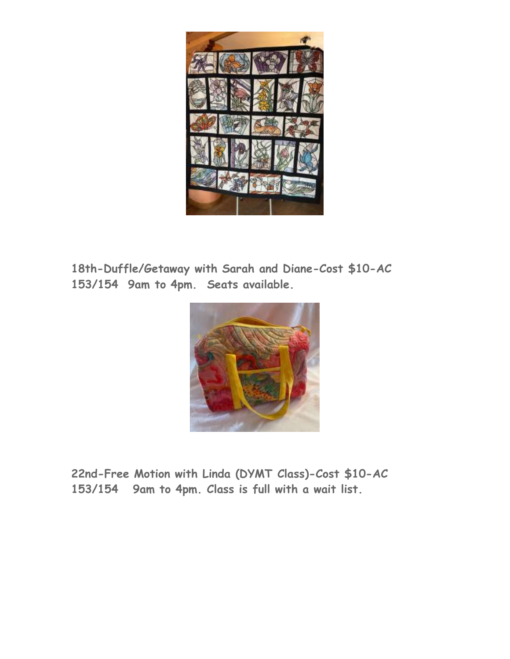

**18th-Duffle/Getaway with Sarah and Diane-Cost \$10-AC 153/154 9am to 4pm. Seats available.**



**22nd-Free Motion with Linda (DYMT Class)-Cost \$10-AC 153/154 9am to 4pm. Class is full with a wait list.**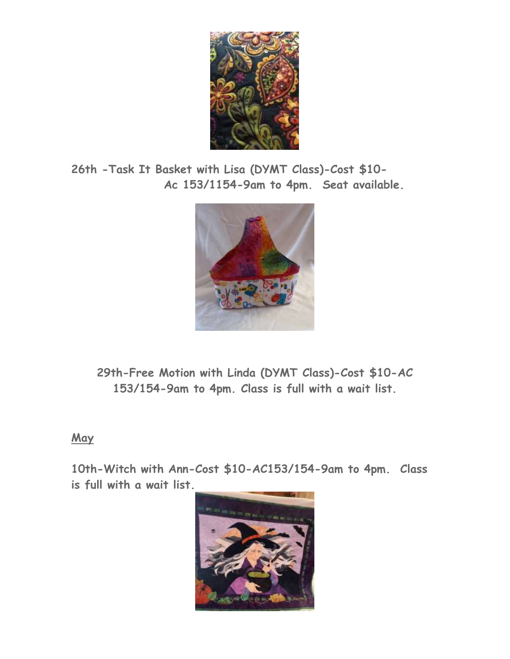

**26th -Task It Basket with Lisa (DYMT Class)-Cost \$10- Ac 153/1154-9am to 4pm. Seat available.**



**29th-Free Motion with Linda (DYMT Class)-Cost \$10-AC 153/154-9am to 4pm. Class is full with a wait list.**

## **May**

**10th-Witch with Ann-Cost \$10-AC153/154-9am to 4pm. Class is full with a wait list.**

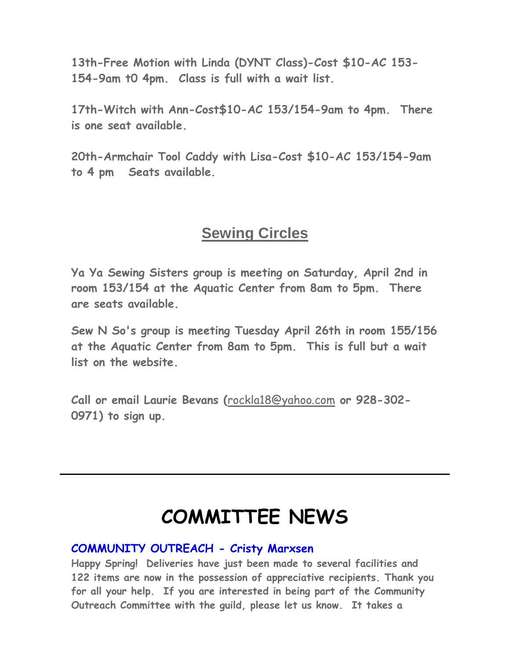**13th-Free Motion with Linda (DYNT Class)-Cost \$10-AC 153- 154-9am t0 4pm. Class is full with a wait list.**

**17th-Witch with Ann-Cost\$10-AC 153/154-9am to 4pm. There is one seat available.**

**20th-Armchair Tool Caddy with Lisa-Cost \$10-AC 153/154-9am to 4 pm Seats available.**

## **Sewing Circles**

**Ya Ya Sewing Sisters group is meeting on Saturday, April 2nd in room 153/154 at the Aquatic Center from 8am to 5pm. There are seats available.**

**Sew N So's group is meeting Tuesday April 26th in room 155/156 at the Aquatic Center from 8am to 5pm. This is full but a wait list on the website.** 

**Call or email Laurie Bevans (**[rockla18@yahoo.com](mailto:rockla18@yahoo.com) **or 928-302- 0971) to sign up.** 

# **COMMITTEE NEWS**

### **COMMUNITY OUTREACH - Cristy Marxsen**

**Happy Spring! Deliveries have just been made to several facilities and 122 items are now in the possession of appreciative recipients. Thank you for all your help. If you are interested in being part of the Community Outreach Committee with the guild, please let us know. It takes a**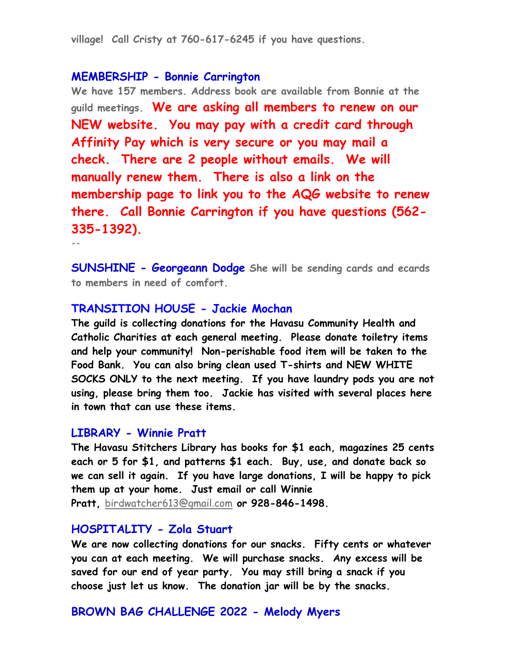**village! Call Cristy at 760-617-6245 if you have questions.** 

### **MEMBERSHIP - Bonnie Carrington**

**We have 157 members. Address book are available from Bonnie at the guild meetings. We are asking all members to renew on our NEW website. You may pay with a credit card through Affinity Pay which is very secure or you may mail a check. There are 2 people without emails. We will manually renew them. There is also a link on the membership page to link you to the AQG website to renew there. Call Bonnie Carrington if you have questions (562- 335-1392).**

**--**

**SUNSHINE - Georgeann Dodge She will be sending cards and ecards to members in need of comfort.** 

#### **TRANSITION HOUSE - Jackie Mochan**

**The guild is collecting donations for the Havasu Community Health and Catholic Charities at each general meeting. Please donate toiletry items and help your community! Non-perishable food item will be taken to the Food Bank. You can also bring clean used T-shirts and NEW WHITE SOCKS ONLY to the next meeting. If you have laundry pods you are not using, please bring them too. Jackie has visited with several places here in town that can use these items.** 

#### **LIBRARY - Winnie Pratt**

**The Havasu Stitchers Library has books for \$1 each, magazines 25 cents each or 5 for \$1, and patterns \$1 each. Buy, use, and donate back so we can sell it again. If you have large donations, I will be happy to pick them up at your home. Just email or call Winnie Pratt,** [birdwatcher613@gmail.com](mailto:birdwatcher613@gmail.com) **or 928-846-1498.**

#### **HOSPITALITY - Zola Stuart**

**We are now collecting donations for our snacks. Fifty cents or whatever you can at each meeting. We will purchase snacks. Any excess will be saved for our end of year party. You may still bring a snack if you choose just let us know. The donation jar will be by the snacks.** 

#### **BROWN BAG CHALLENGE 2022 - Melody Myers**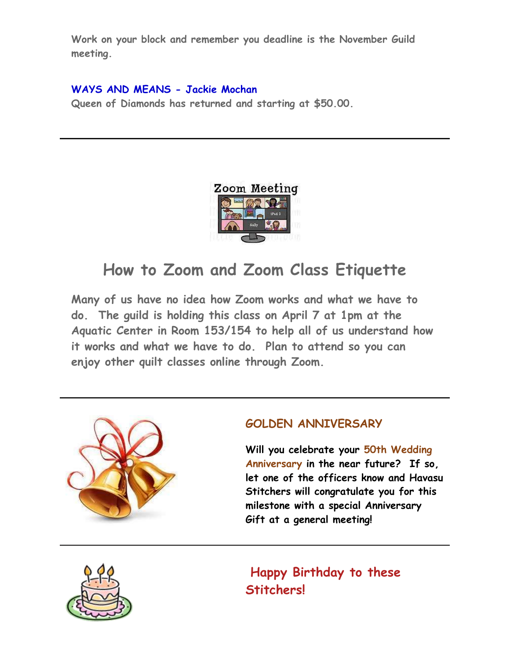**Work on your block and remember you deadline is the November Guild meeting.** 

#### **WAYS AND MEANS - Jackie Mochan**

**Queen of Diamonds has returned and starting at \$50.00.**



# **How to Zoom and Zoom Class Etiquette**

**Many of us have no idea how Zoom works and what we have to do. The guild is holding this class on April 7 at 1pm at the Aquatic Center in Room 153/154 to help all of us understand how it works and what we have to do. Plan to attend so you can enjoy other quilt classes online through Zoom.** 



### **GOLDEN ANNIVERSARY**

**Will you celebrate your 50th Wedding Anniversary in the near future? If so, let one of the officers know and Havasu Stitchers will congratulate you for this milestone with a special Anniversary Gift at a general meeting!**



**Happy Birthday to these Stitchers!**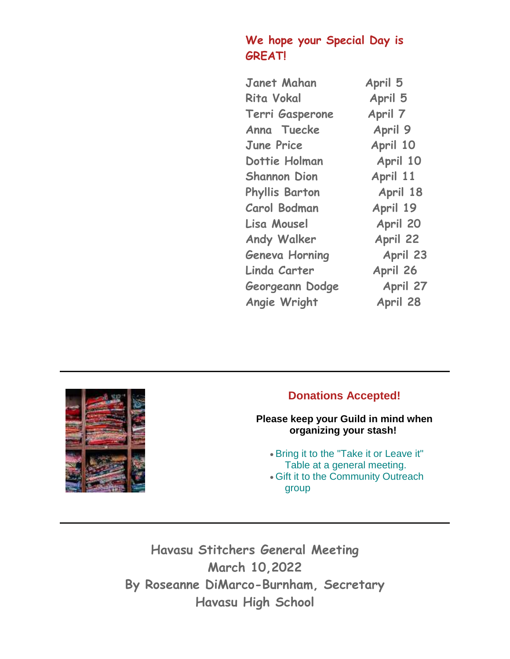## **We hope your Special Day is GREAT!**

| <b>Janet Mahan</b>    | April 5  |
|-----------------------|----------|
| <b>Rita Vokal</b>     | April 5  |
| Terri Gasperone       | April 7  |
| Anna Tuecke           | April 9  |
| <b>June Price</b>     | April 10 |
| Dottie Holman         | April 10 |
| <b>Shannon Dion</b>   | April 11 |
| <b>Phyllis Barton</b> | April 18 |
| <b>Carol Bodman</b>   | April 19 |
| Lisa Mousel           | April 20 |
| <b>Andy Walker</b>    | April 22 |
| <b>Geneva Horning</b> | April 23 |
| Linda Carter          | April 26 |
| Georgeann Dodge       | April 27 |
| Angie Wright          | April 28 |



## **Donations Accepted!**

**Please keep your Guild in mind when organizing your stash!**

 Bring it to the "Take it or Leave it" Table at a general meeting.

 Gift it to the Community Outreach group

**Havasu Stitchers General Meeting March 10,2022 By Roseanne DiMarco-Burnham, Secretary Havasu High School**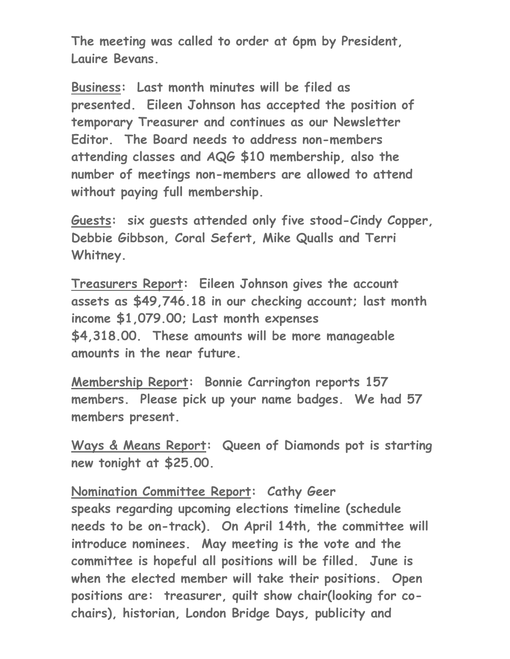**The meeting was called to order at 6pm by President, Lauire Bevans.**

**Business: Last month minutes will be filed as presented. Eileen Johnson has accepted the position of temporary Treasurer and continues as our Newsletter Editor. The Board needs to address non-members attending classes and AQG \$10 membership, also the number of meetings non-members are allowed to attend without paying full membership.** 

**Guests: six guests attended only five stood-Cindy Copper, Debbie Gibbson, Coral Sefert, Mike Qualls and Terri Whitney.**

**Treasurers Report: Eileen Johnson gives the account assets as \$49,746.18 in our checking account; last month income \$1,079.00; Last month expenses \$4,318.00. These amounts will be more manageable amounts in the near future.**

**Membership Report: Bonnie Carrington reports 157 members. Please pick up your name badges. We had 57 members present.**

**Ways & Means Report: Queen of Diamonds pot is starting new tonight at \$25.00.**

**Nomination Committee Report: Cathy Geer speaks regarding upcoming elections timeline (schedule needs to be on-track). On April 14th, the committee will introduce nominees. May meeting is the vote and the committee is hopeful all positions will be filled. June is when the elected member will take their positions. Open positions are: treasurer, quilt show chair(looking for cochairs), historian, London Bridge Days, publicity and**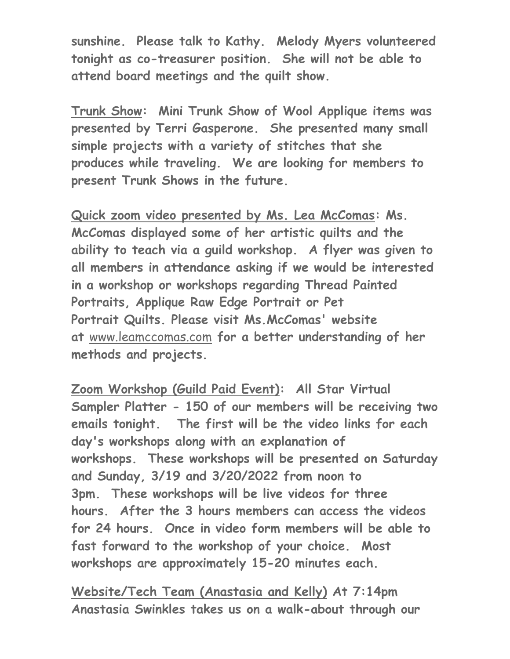**sunshine. Please talk to Kathy. Melody Myers volunteered tonight as co-treasurer position. She will not be able to attend board meetings and the quilt show.**

**Trunk Show: Mini Trunk Show of Wool Applique items was presented by Terri Gasperone. She presented many small simple projects with a variety of stitches that she produces while traveling. We are looking for members to present Trunk Shows in the future.**

**Quick zoom video presented by Ms. Lea McComas: Ms. McComas displayed some of her artistic quilts and the ability to teach via a guild workshop. A flyer was given to all members in attendance asking if we would be interested in a workshop or workshops regarding Thread Painted Portraits, Applique Raw Edge Portrait or Pet Portrait Quilts. Please visit Ms.McComas' website at** [www.leamccomas.com](http://www.leamccomas.com/) **for a better understanding of her methods and projects.**

**Zoom Workshop (Guild Paid Event): All Star Virtual Sampler Platter - 150 of our members will be receiving two emails tonight. The first will be the video links for each day's workshops along with an explanation of workshops. These workshops will be presented on Saturday and Sunday, 3/19 and 3/20/2022 from noon to 3pm. These workshops will be live videos for three hours. After the 3 hours members can access the videos for 24 hours. Once in video form members will be able to fast forward to the workshop of your choice. Most workshops are approximately 15-20 minutes each.**

**Website/Tech Team (Anastasia and Kelly) At 7:14pm Anastasia Swinkles takes us on a walk-about through our**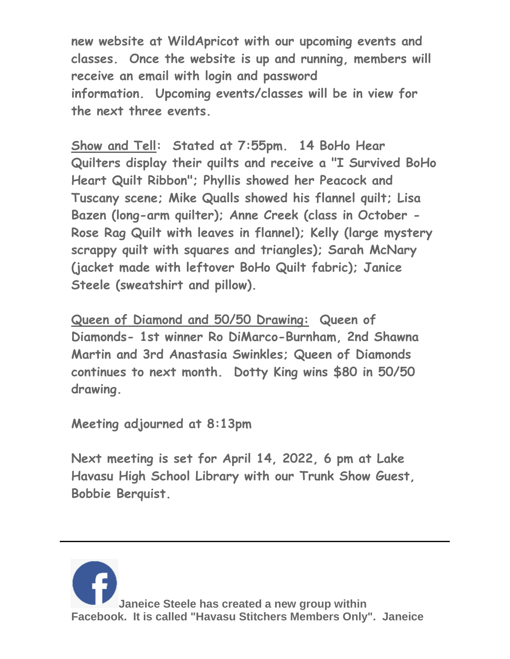**new website at WildApricot with our upcoming events and classes. Once the website is up and running, members will receive an email with login and password information. Upcoming events/classes will be in view for the next three events.** 

**Show and Tell: Stated at 7:55pm. 14 BoHo Hear Quilters display their quilts and receive a "I Survived BoHo Heart Quilt Ribbon"; Phyllis showed her Peacock and Tuscany scene; Mike Qualls showed his flannel quilt; Lisa Bazen (long-arm quilter); Anne Creek (class in October - Rose Rag Quilt with leaves in flannel); Kelly (large mystery scrappy quilt with squares and triangles); Sarah McNary (jacket made with leftover BoHo Quilt fabric); Janice Steele (sweatshirt and pillow).** 

**Queen of Diamond and 50/50 Drawing: Queen of Diamonds- 1st winner Ro DiMarco-Burnham, 2nd Shawna Martin and 3rd Anastasia Swinkles; Queen of Diamonds continues to next month. Dotty King wins \$80 in 50/50 drawing.** 

**Meeting adjourned at 8:13pm**

**Next meeting is set for April 14, 2022, 6 pm at Lake Havasu High School Library with our Trunk Show Guest, Bobbie Berquist.**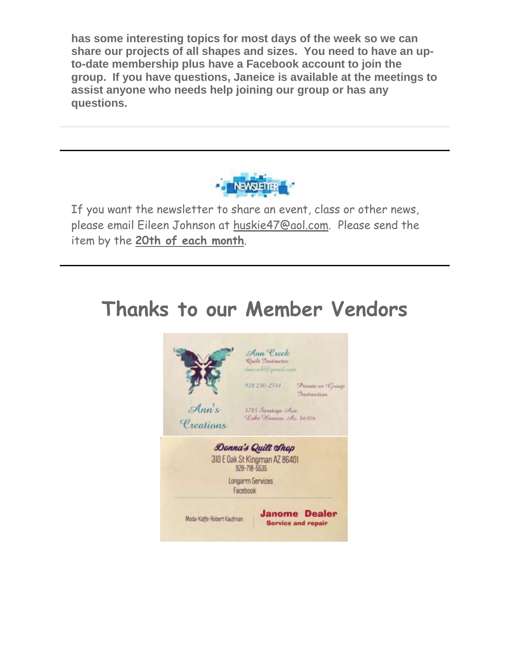**has some interesting topics for most days of the week so we can share our projects of all shapes and sizes. You need to have an upto-date membership plus have a Facebook account to join the group. If you have questions, Janeice is available at the meetings to assist anyone who needs help joining our group or has any questions.** 



If you want the newsletter to share an event, class or other news, please email Eileen Johnson at [huskie47@aol.com.](mailto:huskie47@aol.com) Please send the item by the **20th of each month**.

# **Thanks to our Member Vendors**

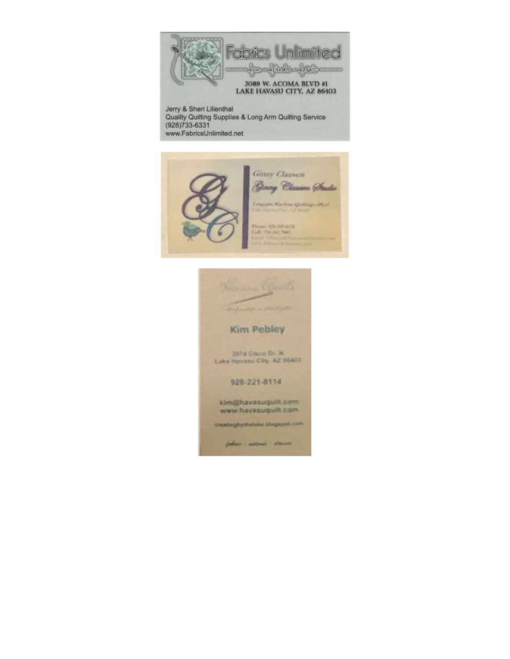

Jerry & Sheri Lilienthal<br>Quality Quilting Supplies & Long Arm Quilting Service (928)733-6331 www.FabricsUnlimited.net



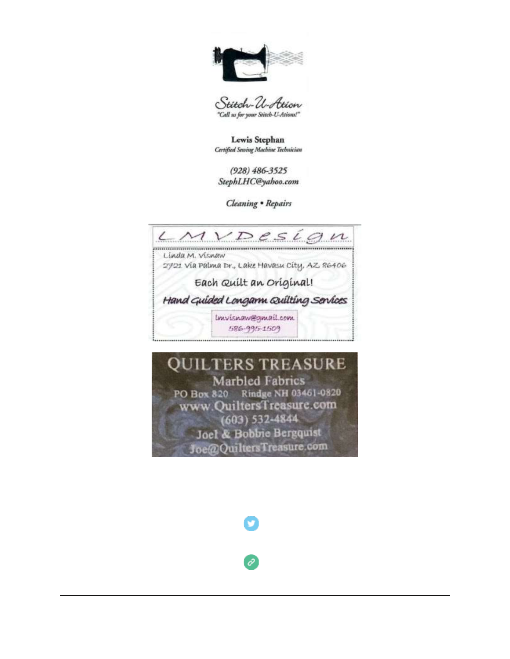

Stitch-U-Ation "Call us for your Stitch-U-Ations!"

Lewis Stephan Certified Sewing Machine Technician

 $(928) 486 - 3525$ StephLHC@yahoo.com

Cleaning . Repairs